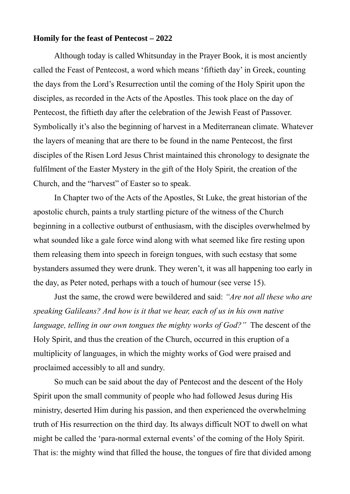## **Homily for the feast of Pentecost – 2022**

Although today is called Whitsunday in the Prayer Book, it is most anciently called the Feast of Pentecost, a word which means 'fiftieth day' in Greek, counting the days from the Lord's Resurrection until the coming of the Holy Spirit upon the disciples, as recorded in the Acts of the Apostles. This took place on the day of Pentecost, the fiftieth day after the celebration of the Jewish Feast of Passover. Symbolically it's also the beginning of harvest in a Mediterranean climate. Whatever the layers of meaning that are there to be found in the name Pentecost, the first disciples of the Risen Lord Jesus Christ maintained this chronology to designate the fulfilment of the Easter Mystery in the gift of the Holy Spirit, the creation of the Church, and the "harvest" of Easter so to speak.

In Chapter two of the Acts of the Apostles, St Luke, the great historian of the apostolic church, paints a truly startling picture of the witness of the Church beginning in a collective outburst of enthusiasm, with the disciples overwhelmed by what sounded like a gale force wind along with what seemed like fire resting upon them releasing them into speech in foreign tongues, with such ecstasy that some bystanders assumed they were drunk. They weren't, it was all happening too early in the day, as Peter noted, perhaps with a touch of humour (see verse 15).

Just the same, the crowd were bewildered and said: *"Are not all these who are speaking Galileans? And how is it that we hear, each of us in his own native language, telling in our own tongues the mighty works of God?"* The descent of the Holy Spirit, and thus the creation of the Church, occurred in this eruption of a multiplicity of languages, in which the mighty works of God were praised and proclaimed accessibly to all and sundry.

So much can be said about the day of Pentecost and the descent of the Holy Spirit upon the small community of people who had followed Jesus during His ministry, deserted Him during his passion, and then experienced the overwhelming truth of His resurrection on the third day. Its always difficult NOT to dwell on what might be called the 'para-normal external events' of the coming of the Holy Spirit. That is: the mighty wind that filled the house, the tongues of fire that divided among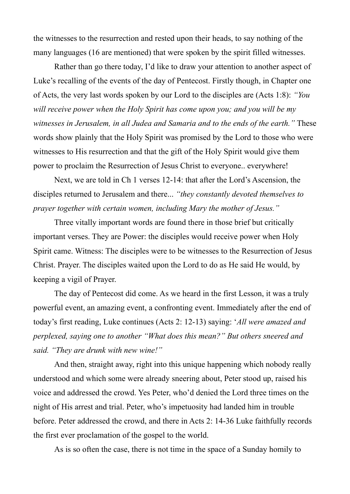the witnesses to the resurrection and rested upon their heads, to say nothing of the many languages (16 are mentioned) that were spoken by the spirit filled witnesses.

Rather than go there today, I'd like to draw your attention to another aspect of Luke's recalling of the events of the day of Pentecost. Firstly though, in Chapter one of Acts, the very last words spoken by our Lord to the disciples are (Acts 1:8): *"You will receive power when the Holy Spirit has come upon you; and you will be my witnesses in Jerusalem, in all Judea and Samaria and to the ends of the earth."* These words show plainly that the Holy Spirit was promised by the Lord to those who were witnesses to His resurrection and that the gift of the Holy Spirit would give them power to proclaim the Resurrection of Jesus Christ to everyone.. everywhere!

Next, we are told in Ch 1 verses 12-14: that after the Lord's Ascension, the disciples returned to Jerusalem and there... *"they constantly devoted themselves to prayer together with certain women, including Mary the mother of Jesus."*

Three vitally important words are found there in those brief but critically important verses. They are Power: the disciples would receive power when Holy Spirit came. Witness: The disciples were to be witnesses to the Resurrection of Jesus Christ. Prayer. The disciples waited upon the Lord to do as He said He would, by keeping a vigil of Prayer.

The day of Pentecost did come. As we heard in the first Lesson, it was a truly powerful event, an amazing event, a confronting event. Immediately after the end of today's first reading, Luke continues (Acts 2: 12-13) saying: '*All were amazed and perplexed, saying one to another "What does this mean?" But others sneered and said. "They are drunk with new wine!"* 

And then, straight away, right into this unique happening which nobody really understood and which some were already sneering about, Peter stood up, raised his voice and addressed the crowd. Yes Peter, who'd denied the Lord three times on the night of His arrest and trial. Peter, who's impetuosity had landed him in trouble before. Peter addressed the crowd, and there in Acts 2: 14-36 Luke faithfully records the first ever proclamation of the gospel to the world.

As is so often the case, there is not time in the space of a Sunday homily to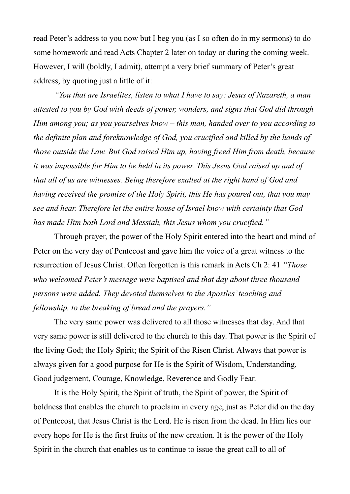read Peter's address to you now but I beg you (as I so often do in my sermons) to do some homework and read Acts Chapter 2 later on today or during the coming week. However, I will (boldly, I admit), attempt a very brief summary of Peter's great address, by quoting just a little of it:

*"You that are Israelites, listen to what I have to say: Jesus of Nazareth, a man attested to you by God with deeds of power, wonders, and signs that God did through Him among you; as you yourselves know – this man, handed over to you according to the definite plan and foreknowledge of God, you crucified and killed by the hands of those outside the Law. But God raised Him up, having freed Him from death, because it was impossible for Him to be held in its power. This Jesus God raised up and of that all of us are witnesses. Being therefore exalted at the right hand of God and having received the promise of the Holy Spirit, this He has poured out, that you may see and hear. Therefore let the entire house of Israel know with certainty that God has made Him both Lord and Messiah, this Jesus whom you crucified."*

Through prayer, the power of the Holy Spirit entered into the heart and mind of Peter on the very day of Pentecost and gave him the voice of a great witness to the resurrection of Jesus Christ. Often forgotten is this remark in Acts Ch 2: 41 *"Those who welcomed Peter's message were baptised and that day about three thousand persons were added. They devoted themselves to the Apostles' teaching and fellowship, to the breaking of bread and the prayers."* 

The very same power was delivered to all those witnesses that day. And that very same power is still delivered to the church to this day. That power is the Spirit of the living God; the Holy Spirit; the Spirit of the Risen Christ. Always that power is always given for a good purpose for He is the Spirit of Wisdom, Understanding, Good judgement, Courage, Knowledge, Reverence and Godly Fear.

It is the Holy Spirit, the Spirit of truth, the Spirit of power, the Spirit of boldness that enables the church to proclaim in every age, just as Peter did on the day of Pentecost, that Jesus Christ is the Lord. He is risen from the dead. In Him lies our every hope for He is the first fruits of the new creation. It is the power of the Holy Spirit in the church that enables us to continue to issue the great call to all of